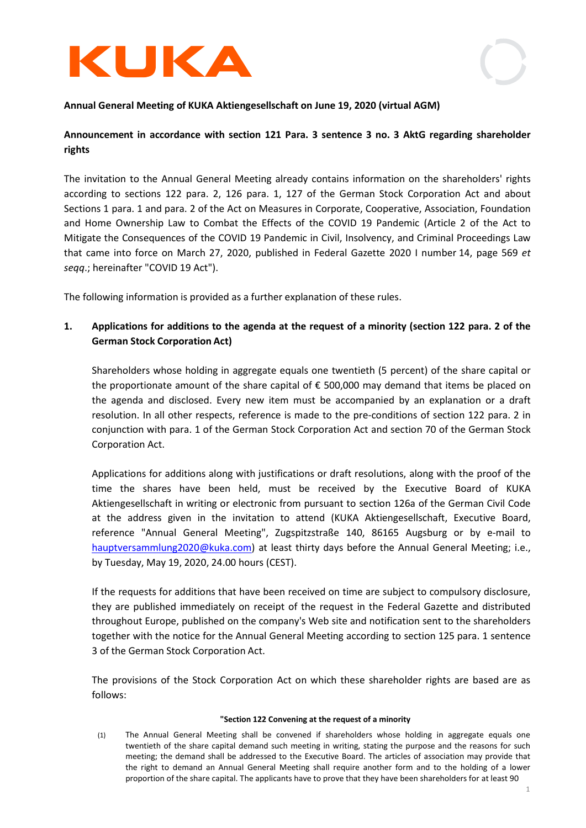



### Annual General Meeting of KUKA Aktiengesellschaft on June 19, 2020 (virtual AGM)

## Announcement in accordance with section 121 Para. 3 sentence 3 no. 3 AktG regarding shareholder rights

The invitation to the Annual General Meeting already contains information on the shareholders' rights according to sections 122 para. 2, 126 para. 1, 127 of the German Stock Corporation Act and about Sections 1 para. 1 and para. 2 of the Act on Measures in Corporate, Cooperative, Association, Foundation and Home Ownership Law to Combat the Effects of the COVID 19 Pandemic (Article 2 of the Act to Mitigate the Consequences of the COVID 19 Pandemic in Civil, Insolvency, and Criminal Proceedings Law that came into force on March 27, 2020, published in Federal Gazette 2020 I number 14, page 569 et seqq.; hereinafter "COVID 19 Act").

The following information is provided as a further explanation of these rules.

# 1. Applications for additions to the agenda at the request of a minority (section 122 para. 2 of the German Stock Corporation Act)

Shareholders whose holding in aggregate equals one twentieth (5 percent) of the share capital or the proportionate amount of the share capital of  $\epsilon$  500,000 may demand that items be placed on the agenda and disclosed. Every new item must be accompanied by an explanation or a draft resolution. In all other respects, reference is made to the pre-conditions of section 122 para. 2 in conjunction with para. 1 of the German Stock Corporation Act and section 70 of the German Stock Corporation Act.

Applications for additions along with justifications or draft resolutions, along with the proof of the time the shares have been held, must be received by the Executive Board of KUKA Aktiengesellschaft in writing or electronic from pursuant to section 126a of the German Civil Code at the address given in the invitation to attend (KUKA Aktiengesellschaft, Executive Board, reference "Annual General Meeting", Zugspitzstraße 140, 86165 Augsburg or by e-mail to hauptversammlung2020@kuka.com) at least thirty days before the Annual General Meeting; i.e., by Tuesday, May 19, 2020, 24.00 hours (CEST).

If the requests for additions that have been received on time are subject to compulsory disclosure, they are published immediately on receipt of the request in the Federal Gazette and distributed throughout Europe, published on the company's Web site and notification sent to the shareholders together with the notice for the Annual General Meeting according to section 125 para. 1 sentence 3 of the German Stock Corporation Act.

The provisions of the Stock Corporation Act on which these shareholder rights are based are as follows:

#### "Section 122 Convening at the request of a minority

(1) The Annual General Meeting shall be convened if shareholders whose holding in aggregate equals one twentieth of the share capital demand such meeting in writing, stating the purpose and the reasons for such meeting; the demand shall be addressed to the Executive Board. The articles of association may provide that the right to demand an Annual General Meeting shall require another form and to the holding of a lower proportion of the share capital. The applicants have to prove that they have been shareholders for at least 90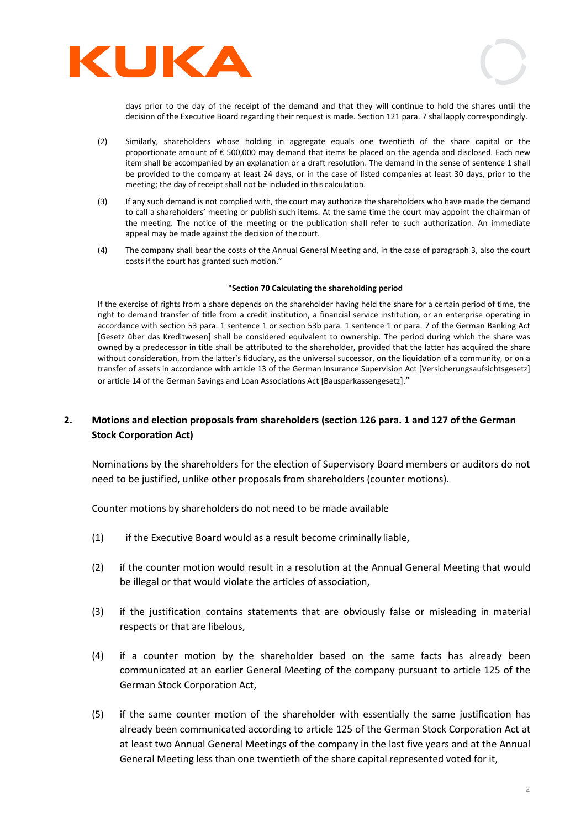



days prior to the day of the receipt of the demand and that they will continue to hold the shares until the decision of the Executive Board regarding their request is made. Section 121 para. 7 shall apply correspondingly.

- (2) Similarly, shareholders whose holding in aggregate equals one twentieth of the share capital or the proportionate amount of € 500,000 may demand that items be placed on the agenda and disclosed. Each new item shall be accompanied by an explanation or a draft resolution. The demand in the sense of sentence 1 shall be provided to the company at least 24 days, or in the case of listed companies at least 30 days, prior to the meeting; the day of receipt shall not be included in this calculation.
- (3) If any such demand is not complied with, the court may authorize the shareholders who have made the demand to call a shareholders' meeting or publish such items. At the same time the court may appoint the chairman of the meeting. The notice of the meeting or the publication shall refer to such authorization. An immediate appeal may be made against the decision of the court.
- (4) The company shall bear the costs of the Annual General Meeting and, in the case of paragraph 3, also the court costs if the court has granted such motion."

#### "Section 70 Calculating the shareholding period

If the exercise of rights from a share depends on the shareholder having held the share for a certain period of time, the right to demand transfer of title from a credit institution, a financial service institution, or an enterprise operating in accordance with section 53 para. 1 sentence 1 or section 53b para. 1 sentence 1 or para. 7 of the German Banking Act [Gesetz über das Kreditwesen] shall be considered equivalent to ownership. The period during which the share was owned by a predecessor in title shall be attributed to the shareholder, provided that the latter has acquired the share without consideration, from the latter's fiduciary, as the universal successor, on the liquidation of a community, or on a transfer of assets in accordance with article 13 of the German Insurance Supervision Act [Versicherungsaufsichtsgesetz] or article 14 of the German Savings and Loan Associations Act [Bausparkassengesetz]."

# 2. Motions and election proposals from shareholders (section 126 para. 1 and 127 of the German Stock Corporation Act)

Nominations by the shareholders for the election of Supervisory Board members or auditors do not need to be justified, unlike other proposals from shareholders (counter motions).

Counter motions by shareholders do not need to be made available

- (1) if the Executive Board would as a result become criminally liable,
- (2) if the counter motion would result in a resolution at the Annual General Meeting that would be illegal or that would violate the articles of association,
- (3) if the justification contains statements that are obviously false or misleading in material respects or that are libelous,
- (4) if a counter motion by the shareholder based on the same facts has already been communicated at an earlier General Meeting of the company pursuant to article 125 of the German Stock Corporation Act,
- (5) if the same counter motion of the shareholder with essentially the same justification has already been communicated according to article 125 of the German Stock Corporation Act at at least two Annual General Meetings of the company in the last five years and at the Annual General Meeting less than one twentieth of the share capital represented voted for it,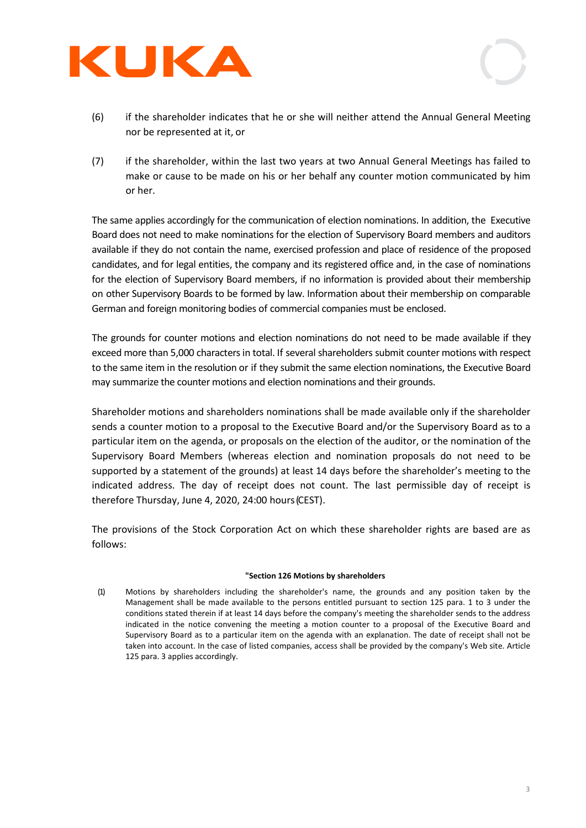



- (6) if the shareholder indicates that he or she will neither attend the Annual General Meeting nor be represented at it, or
- (7) if the shareholder, within the last two years at two Annual General Meetings has failed to make or cause to be made on his or her behalf any counter motion communicated by him or her.

The same applies accordingly for the communication of election nominations. In addition, the Executive Board does not need to make nominations for the election of Supervisory Board members and auditors available if they do not contain the name, exercised profession and place of residence of the proposed candidates, and for legal entities, the company and its registered office and, in the case of nominations for the election of Supervisory Board members, if no information is provided about their membership on other Supervisory Boards to be formed by law. Information about their membership on comparable German and foreign monitoring bodies of commercial companies must be enclosed.

The grounds for counter motions and election nominations do not need to be made available if they exceed more than 5,000 characters in total. If several shareholders submit counter motions with respect to the same item in the resolution or if they submit the same election nominations, the Executive Board may summarize the counter motions and election nominations and their grounds.

Shareholder motions and shareholders nominations shall be made available only if the shareholder sends a counter motion to a proposal to the Executive Board and/or the Supervisory Board as to a particular item on the agenda, or proposals on the election of the auditor, or the nomination of the Supervisory Board Members (whereas election and nomination proposals do not need to be supported by a statement of the grounds) at least 14 days before the shareholder's meeting to the indicated address. The day of receipt does not count. The last permissible day of receipt is therefore Thursday, June 4, 2020, 24:00 hours (CEST).

The provisions of the Stock Corporation Act on which these shareholder rights are based are as follows:

### "Section 126 Motions by shareholders

(1) Motions by shareholders including the shareholder's name, the grounds and any position taken by the Management shall be made available to the persons entitled pursuant to section 125 para. 1 to 3 under the conditions stated therein if at least 14 days before the company's meeting the shareholder sends to the address indicated in the notice convening the meeting a motion counter to a proposal of the Executive Board and Supervisory Board as to a particular item on the agenda with an explanation. The date of receipt shall not be taken into account. In the case of listed companies, access shall be provided by the company's Web site. Article 125 para. 3 applies accordingly.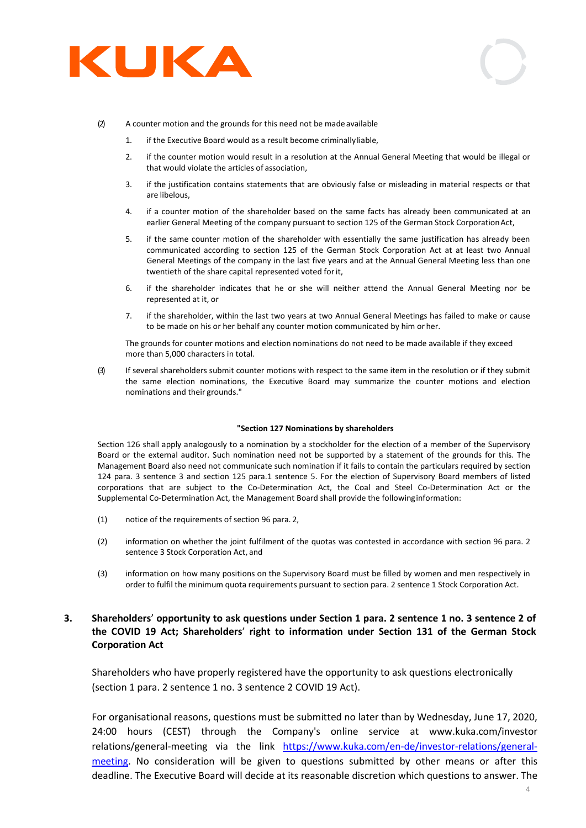



- (2) A counter motion and the grounds for this need not be made available
	- 1. if the Executive Board would as a result become criminally liable,
	- 2. if the counter motion would result in a resolution at the Annual General Meeting that would be illegal or that would violate the articles of association,
	- 3. if the justification contains statements that are obviously false or misleading in material respects or that are libelous,
	- 4. if a counter motion of the shareholder based on the same facts has already been communicated at an earlier General Meeting of the company pursuant to section 125 of the German Stock Corporation Act,
	- 5. if the same counter motion of the shareholder with essentially the same justification has already been communicated according to section 125 of the German Stock Corporation Act at at least two Annual General Meetings of the company in the last five years and at the Annual General Meeting less than one twentieth of the share capital represented voted for it,
	- 6. if the shareholder indicates that he or she will neither attend the Annual General Meeting nor be represented at it, or
	- 7. if the shareholder, within the last two years at two Annual General Meetings has failed to make or cause to be made on his or her behalf any counter motion communicated by him or her.

The grounds for counter motions and election nominations do not need to be made available if they exceed more than 5,000 characters in total.

(3) If several shareholders submit counter motions with respect to the same item in the resolution or if they submit the same election nominations, the Executive Board may summarize the counter motions and election nominations and their grounds."

#### "Section 127 Nominations by shareholders

Section 126 shall apply analogously to a nomination by a stockholder for the election of a member of the Supervisory Board or the external auditor. Such nomination need not be supported by a statement of the grounds for this. The Management Board also need not communicate such nomination if it fails to contain the particulars required by section 124 para. 3 sentence 3 and section 125 para.1 sentence 5. For the election of Supervisory Board members of listed corporations that are subject to the Co-Determination Act, the Coal and Steel Co-Determination Act or the Supplemental Co-Determination Act, the Management Board shall provide the following information:

- (1) notice of the requirements of section 96 para. 2,
- (2) information on whether the joint fulfilment of the quotas was contested in accordance with section 96 para. 2 sentence 3 Stock Corporation Act, and
- (3) information on how many positions on the Supervisory Board must be filled by women and men respectively in order to fulfil the minimum quota requirements pursuant to section para. 2 sentence 1 Stock Corporation Act.

### 3. Shareholders' opportunity to ask questions under Section 1 para. 2 sentence 1 no. 3 sentence 2 of the COVID 19 Act; Shareholders' right to information under Section 131 of the German Stock Corporation Act

Shareholders who have properly registered have the opportunity to ask questions electronically (section 1 para. 2 sentence 1 no. 3 sentence 2 COVID 19 Act).

For organisational reasons, questions must be submitted no later than by Wednesday, June 17, 2020, 24:00 hours (CEST) through the Company's online service at www.kuka.com/investor relations/general-meeting via the link https://www.kuka.com/en-de/investor-relations/generalmeeting. No consideration will be given to questions submitted by other means or after this deadline. The Executive Board will decide at its reasonable discretion which questions to answer. The